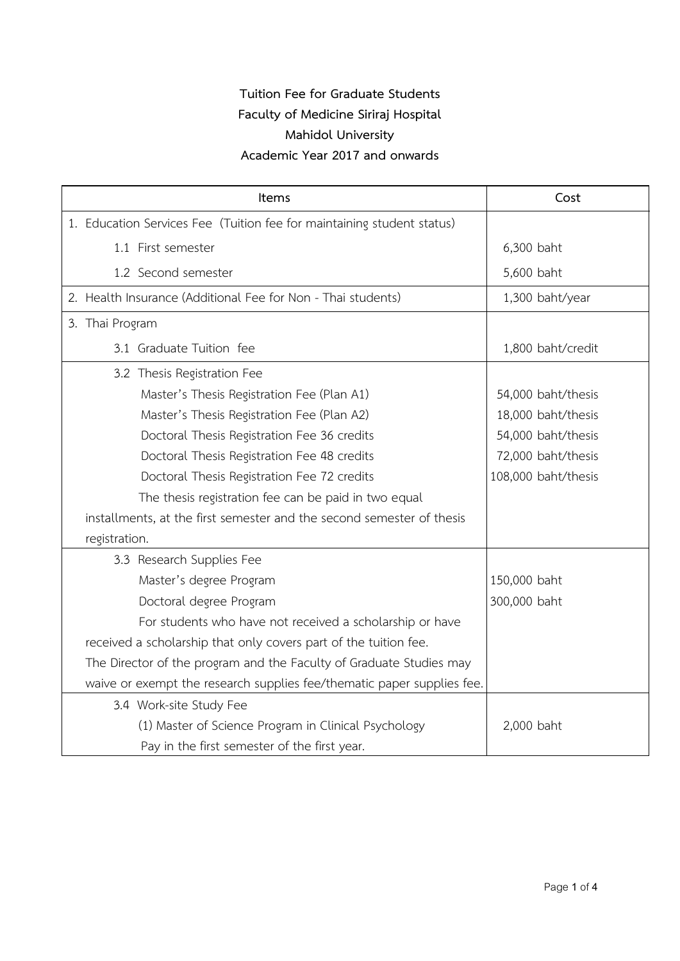| Items |                 |                                                                        | Cost                |
|-------|-----------------|------------------------------------------------------------------------|---------------------|
|       |                 | 1. Education Services Fee (Tuition fee for maintaining student status) |                     |
|       |                 | 1.1 First semester                                                     | 6,300 baht          |
|       |                 | 1.2 Second semester                                                    | 5,600 baht          |
|       |                 | 2. Health Insurance (Additional Fee for Non - Thai students)           | 1,300 baht/year     |
|       | 3. Thai Program |                                                                        |                     |
|       |                 | 3.1 Graduate Tuition fee                                               | 1,800 baht/credit   |
|       |                 | 3.2 Thesis Registration Fee                                            |                     |
|       |                 | Master's Thesis Registration Fee (Plan A1)                             | 54,000 baht/thesis  |
|       |                 | Master's Thesis Registration Fee (Plan A2)                             | 18,000 baht/thesis  |
|       |                 | Doctoral Thesis Registration Fee 36 credits                            | 54,000 baht/thesis  |
|       |                 | Doctoral Thesis Registration Fee 48 credits                            | 72,000 baht/thesis  |
|       |                 | Doctoral Thesis Registration Fee 72 credits                            | 108,000 baht/thesis |
|       |                 | The thesis registration fee can be paid in two equal                   |                     |
|       |                 | installments, at the first semester and the second semester of thesis  |                     |
|       | registration.   |                                                                        |                     |
|       |                 | 3.3 Research Supplies Fee                                              |                     |
|       |                 | Master's degree Program                                                | 150,000 baht        |
|       |                 | Doctoral degree Program                                                | 300,000 baht        |
|       |                 | For students who have not received a scholarship or have               |                     |
|       |                 | received a scholarship that only covers part of the tuition fee.       |                     |
|       |                 | The Director of the program and the Faculty of Graduate Studies may    |                     |
|       |                 | waive or exempt the research supplies fee/thematic paper supplies fee. |                     |
|       |                 | 3.4 Work-site Study Fee                                                |                     |
|       |                 | (1) Master of Science Program in Clinical Psychology                   | 2,000 baht          |
|       |                 | Pay in the first semester of the first year.                           |                     |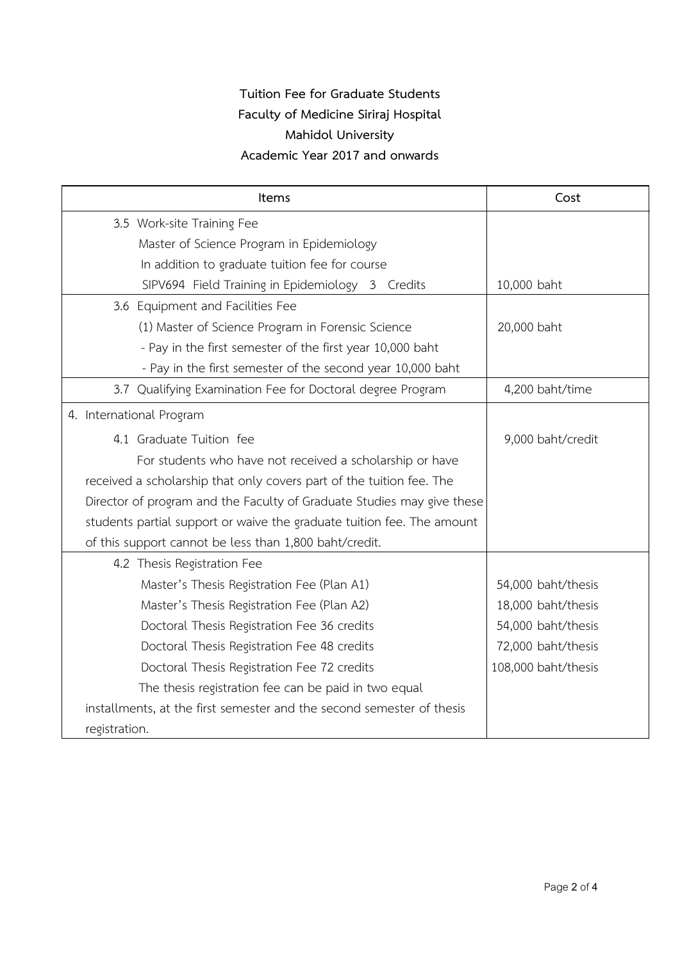| <b>Items</b>                                                           | Cost                |
|------------------------------------------------------------------------|---------------------|
| 3.5 Work-site Training Fee                                             |                     |
| Master of Science Program in Epidemiology                              |                     |
| In addition to graduate tuition fee for course                         |                     |
| SIPV694 Field Training in Epidemiology 3 Credits                       | 10,000 baht         |
| 3.6 Equipment and Facilities Fee                                       |                     |
| (1) Master of Science Program in Forensic Science                      | 20,000 baht         |
| - Pay in the first semester of the first year 10,000 baht              |                     |
| - Pay in the first semester of the second year 10,000 baht             |                     |
| 3.7 Qualifying Examination Fee for Doctoral degree Program             | 4,200 baht/time     |
| 4. International Program                                               |                     |
| 4.1 Graduate Tuition fee                                               | 9,000 baht/credit   |
| For students who have not received a scholarship or have               |                     |
| received a scholarship that only covers part of the tuition fee. The   |                     |
| Director of program and the Faculty of Graduate Studies may give these |                     |
| students partial support or waive the graduate tuition fee. The amount |                     |
| of this support cannot be less than 1,800 baht/credit.                 |                     |
| 4.2 Thesis Registration Fee                                            |                     |
| Master's Thesis Registration Fee (Plan A1)                             | 54,000 baht/thesis  |
| Master's Thesis Registration Fee (Plan A2)                             | 18,000 baht/thesis  |
| Doctoral Thesis Registration Fee 36 credits                            | 54,000 baht/thesis  |
| Doctoral Thesis Registration Fee 48 credits                            | 72,000 baht/thesis  |
| Doctoral Thesis Registration Fee 72 credits                            | 108,000 baht/thesis |
| The thesis registration fee can be paid in two equal                   |                     |
| installments, at the first semester and the second semester of thesis  |                     |
| registration.                                                          |                     |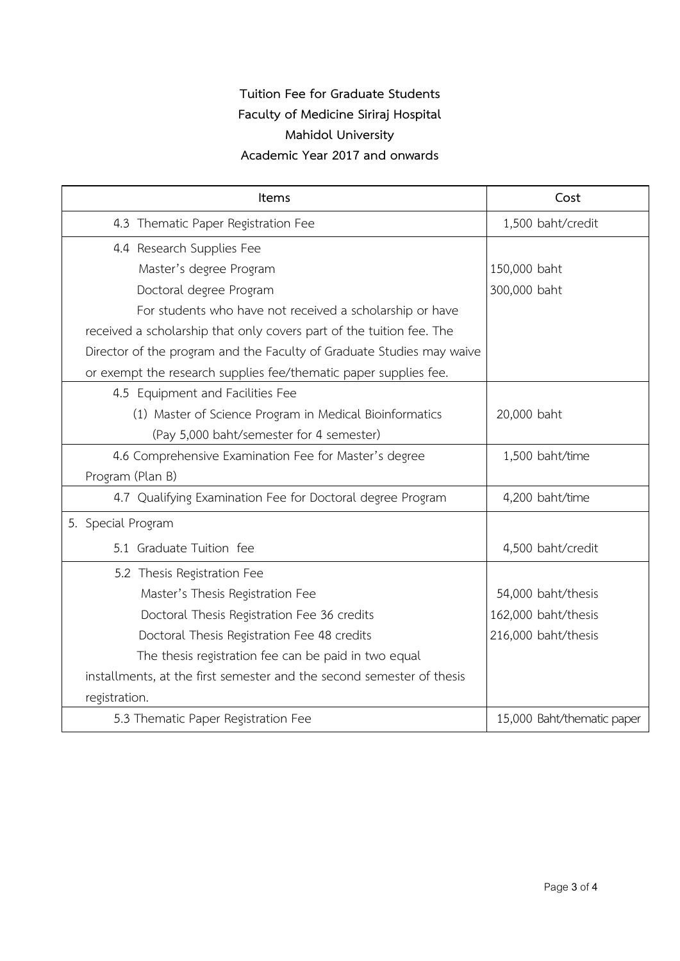| Items                                                                 | Cost                       |
|-----------------------------------------------------------------------|----------------------------|
| 4.3 Thematic Paper Registration Fee                                   | 1,500 baht/credit          |
| 4.4 Research Supplies Fee                                             |                            |
| Master's degree Program                                               | 150,000 baht               |
| Doctoral degree Program                                               | 300,000 baht               |
| For students who have not received a scholarship or have              |                            |
| received a scholarship that only covers part of the tuition fee. The  |                            |
| Director of the program and the Faculty of Graduate Studies may waive |                            |
| or exempt the research supplies fee/thematic paper supplies fee.      |                            |
| 4.5 Equipment and Facilities Fee                                      |                            |
| (1) Master of Science Program in Medical Bioinformatics               | 20,000 baht                |
| (Pay 5,000 baht/semester for 4 semester)                              |                            |
| 4.6 Comprehensive Examination Fee for Master's degree                 | 1,500 baht/time            |
| Program (Plan B)                                                      |                            |
| 4.7 Qualifying Examination Fee for Doctoral degree Program            | 4,200 baht/time            |
| 5. Special Program                                                    |                            |
| 5.1 Graduate Tuition fee                                              | 4,500 baht/credit          |
| 5.2 Thesis Registration Fee                                           |                            |
| Master's Thesis Registration Fee                                      | 54,000 baht/thesis         |
| Doctoral Thesis Registration Fee 36 credits                           | 162,000 baht/thesis        |
| Doctoral Thesis Registration Fee 48 credits                           | 216,000 baht/thesis        |
| The thesis registration fee can be paid in two equal                  |                            |
| installments, at the first semester and the second semester of thesis |                            |
| registration.                                                         |                            |
| 5.3 Thematic Paper Registration Fee                                   | 15,000 Baht/thematic paper |